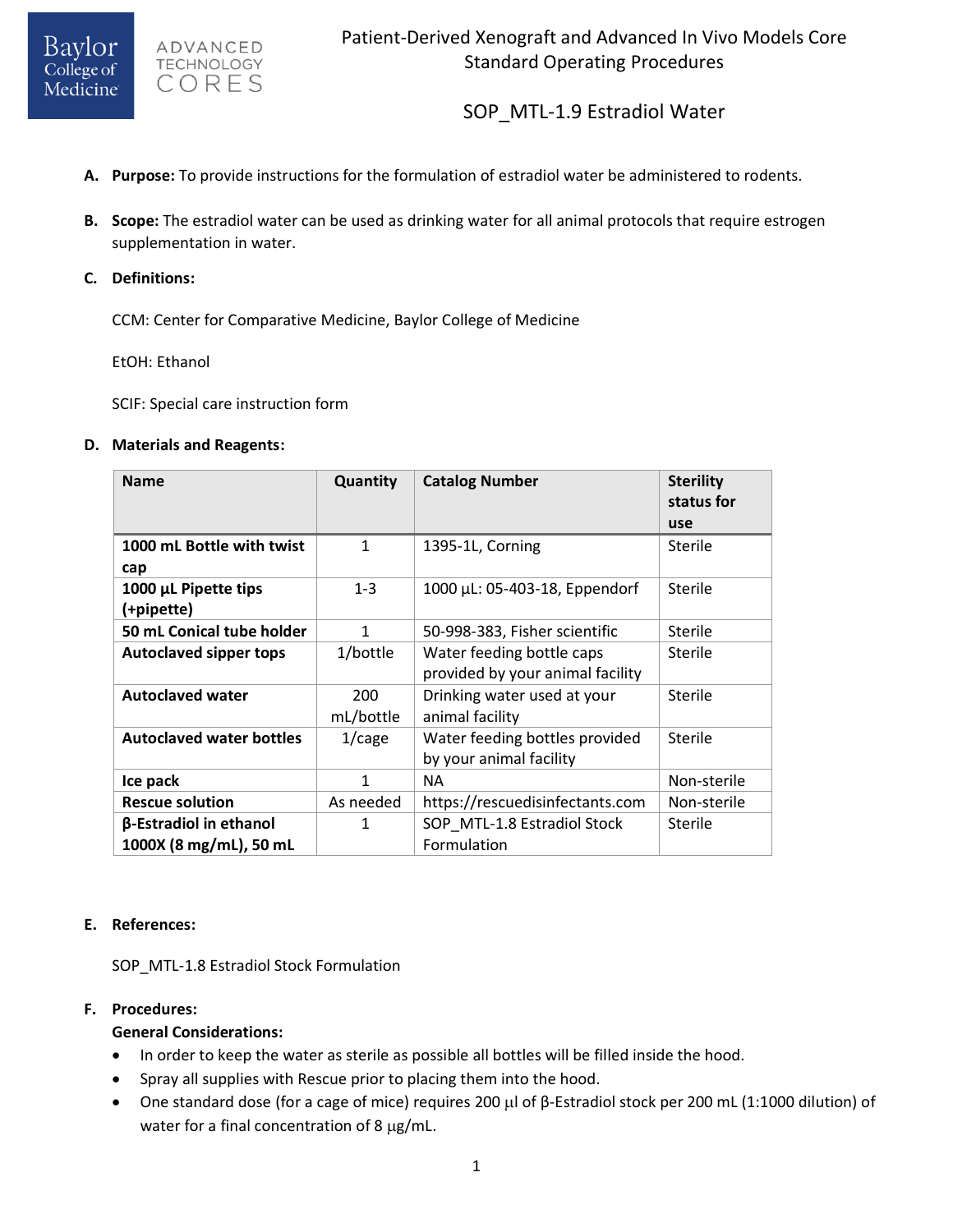

ADVANCED **TECHNOLOGY** CORES

SOP\_MTL-1.9 Estradiol Water

- **A. Purpose:** To provide instructions for the formulation of estradiol water be administered to rodents.
- **B. Scope:** The estradiol water can be used as drinking water for all animal protocols that require estrogen supplementation in water.
- **C. Definitions:**

CCM: Center for Comparative Medicine, Baylor College of Medicine

EtOH: Ethanol

SCIF: Special care instruction form

#### **D. Materials and Reagents:**

| <b>Name</b>                        | Quantity         | <b>Catalog Number</b>                                         | <b>Sterility</b><br>status for<br>use |
|------------------------------------|------------------|---------------------------------------------------------------|---------------------------------------|
| 1000 mL Bottle with twist<br>cap   | 1                | 1395-1L, Corning                                              | <b>Sterile</b>                        |
| 1000 µL Pipette tips<br>(+pipette) | $1 - 3$          | 1000 μL: 05-403-18, Eppendorf                                 | <b>Sterile</b>                        |
| 50 mL Conical tube holder          | 1                | 50-998-383, Fisher scientific                                 | <b>Sterile</b>                        |
| <b>Autoclaved sipper tops</b>      | 1/bottle         | Water feeding bottle caps<br>provided by your animal facility | <b>Sterile</b>                        |
| <b>Autoclaved water</b>            | 200<br>mL/bottle | Drinking water used at your<br>animal facility                | Sterile                               |
| <b>Autoclaved water bottles</b>    | $1/c$ age        | Water feeding bottles provided<br>by your animal facility     | Sterile                               |
| Ice pack                           | 1                | NΑ                                                            | Non-sterile                           |
| <b>Rescue solution</b>             | As needed        | https://rescuedisinfectants.com                               | Non-sterile                           |
| β-Estradiol in ethanol             | 1                | SOP MTL-1.8 Estradiol Stock                                   | Sterile                               |
| 1000X (8 mg/mL), 50 mL             |                  | Formulation                                                   |                                       |

## **E. References:**

SOP\_MTL-1.8 Estradiol Stock Formulation

## **F. Procedures:**

## **General Considerations:**

- In order to keep the water as sterile as possible all bottles will be filled inside the hood.
- Spray all supplies with Rescue prior to placing them into the hood.
- One standard dose (for a cage of mice) requires 200 μl of β-Estradiol stock per 200 mL (1:1000 dilution) of water for a final concentration of 8  $\mu$ g/mL.